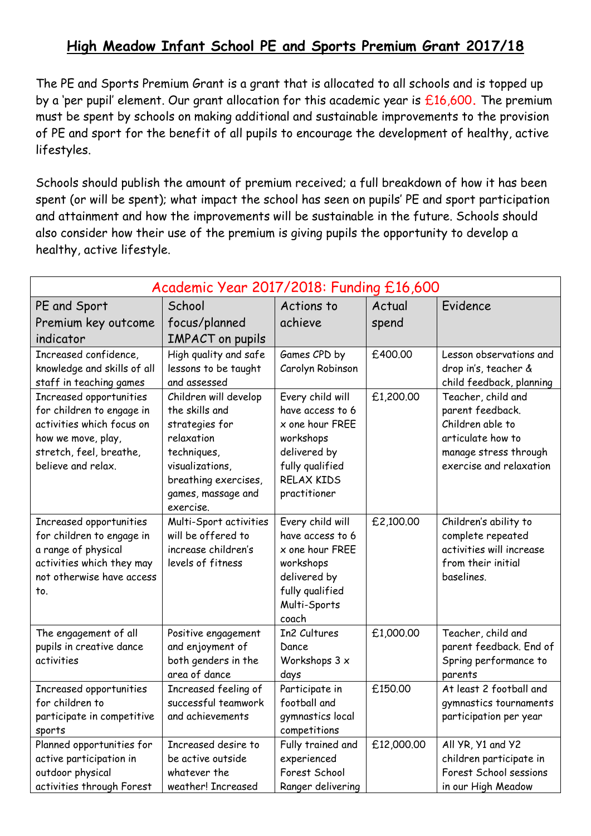## **High Meadow Infant School PE and Sports Premium Grant 2017/18**

The PE and Sports Premium Grant is a grant that is allocated to all schools and is topped up by a 'per pupil' element. Our grant allocation for this academic year is £16,600**.** The premium must be spent by schools on making additional and sustainable improvements to the provision of PE and sport for the benefit of all pupils to encourage the development of healthy, active lifestyles.

Schools should publish the amount of premium received; a full breakdown of how it has been spent (or will be spent); what impact the school has seen on pupils' PE and sport participation and attainment and how the improvements will be sustainable in the future. Schools should also consider how their use of the premium is giving pupils the opportunity to develop a healthy, active lifestyle.

| Academic Year 2017/2018: Funding £16,600                                                                                                                                                                              |                                                                                                                                                         |                                                                                                                                  |                      |                                                                                                                                                                                         |  |  |
|-----------------------------------------------------------------------------------------------------------------------------------------------------------------------------------------------------------------------|---------------------------------------------------------------------------------------------------------------------------------------------------------|----------------------------------------------------------------------------------------------------------------------------------|----------------------|-----------------------------------------------------------------------------------------------------------------------------------------------------------------------------------------|--|--|
| PE and Sport                                                                                                                                                                                                          | School                                                                                                                                                  | Actions to                                                                                                                       | Actual               | Evidence                                                                                                                                                                                |  |  |
| Premium key outcome                                                                                                                                                                                                   | focus/planned                                                                                                                                           | achieve                                                                                                                          | spend                |                                                                                                                                                                                         |  |  |
| indicator                                                                                                                                                                                                             | <b>IMPACT</b> on pupils                                                                                                                                 |                                                                                                                                  |                      |                                                                                                                                                                                         |  |  |
| Increased confidence,<br>knowledge and skills of all<br>staff in teaching games<br>Increased opportunities<br>for children to engage in<br>activities which focus on<br>how we move, play,<br>stretch, feel, breathe, | High quality and safe<br>lessons to be taught<br>and assessed<br>Children will develop<br>the skills and<br>strategies for<br>relaxation<br>techniques, | Games CPD by<br>Carolyn Robinson<br>Every child will<br>have access to 6<br>x one hour FREE<br>workshops<br>delivered by         | £400.00<br>£1,200.00 | Lesson observations and<br>drop in's, teacher &<br>child feedback, planning<br>Teacher, child and<br>parent feedback.<br>Children able to<br>articulate how to<br>manage stress through |  |  |
| believe and relax.                                                                                                                                                                                                    | visualizations,<br>breathing exercises,<br>games, massage and<br>exercise.                                                                              | fully qualified<br><b>RELAX KIDS</b><br>practitioner                                                                             |                      | exercise and relaxation                                                                                                                                                                 |  |  |
| Increased opportunities<br>for children to engage in<br>a range of physical<br>activities which they may<br>not otherwise have access<br>to.                                                                          | Multi-Sport activities<br>will be offered to<br>increase children's<br>levels of fitness                                                                | Every child will<br>have access to 6<br>x one hour FREE<br>workshops<br>delivered by<br>fully qualified<br>Multi-Sports<br>coach | £2,100.00            | Children's ability to<br>complete repeated<br>activities will increase<br>from their initial<br>baselines.                                                                              |  |  |
| The engagement of all<br>pupils in creative dance<br>activities                                                                                                                                                       | Positive engagement<br>and enjoyment of<br>both genders in the<br>area of dance                                                                         | In2 Cultures<br>Dance<br>Workshops 3 x<br>days                                                                                   | £1,000.00            | Teacher, child and<br>parent feedback. End of<br>Spring performance to<br>parents                                                                                                       |  |  |
| Increased opportunities<br>for children to<br>participate in competitive<br>sports                                                                                                                                    | Increased feeling of<br>successful teamwork<br>and achievements                                                                                         | Participate in<br>football and<br>gymnastics local<br>competitions                                                               | £150.00              | At least 2 football and<br>gymnastics tournaments<br>participation per year                                                                                                             |  |  |
| Planned opportunities for<br>active participation in<br>outdoor physical<br>activities through Forest                                                                                                                 | Increased desire to<br>be active outside<br>whatever the<br>weather! Increased                                                                          | Fully trained and<br>experienced<br>Forest School<br>Ranger delivering                                                           | £12,000.00           | All YR, Y1 and Y2<br>children participate in<br>Forest School sessions<br>in our High Meadow                                                                                            |  |  |